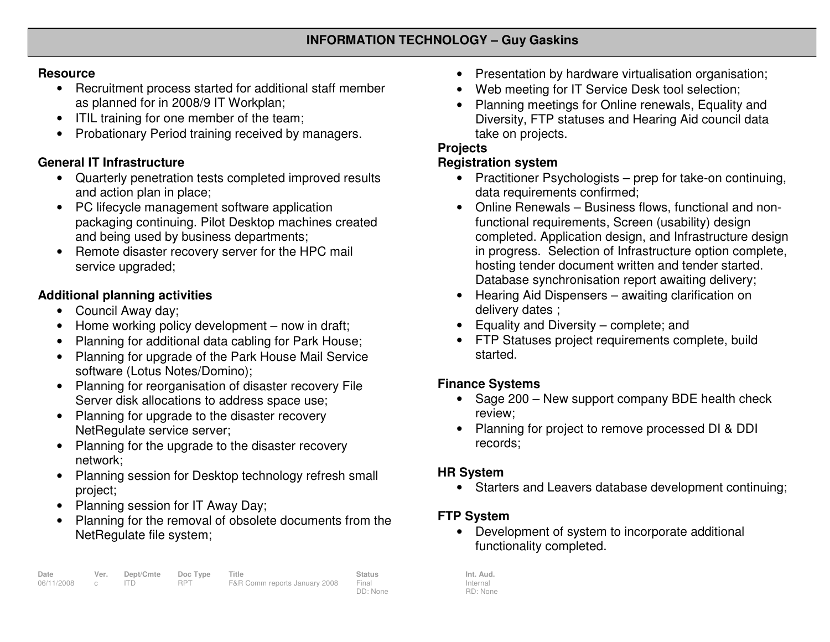#### **Resource**

- Recruitment process started for additional staff member as planned for in 2008/9 IT Workplan;
- ITIL training for one member of the team;
- Probationary Period training received by managers.

### **General IT Infrastructure**

- Quarterly penetration tests completed improved results and action plan in place;
- PC lifecycle management software application packaging continuing. Pilot Desktop machines created and being used by business departments;
- Remote disaster recovery server for the HPC mail service upgraded;

## **Additional planning activities**

- Council Away day;
- Home working policy development now in draft;
- Planning for additional data cabling for Park House;
- Planning for upgrade of the Park House Mail Service software (Lotus Notes/Domino);
- Planning for reorganisation of disaster recovery File Server disk allocations to address space use;
- Planning for upgrade to the disaster recovery NetRegulate service server;
- Planning for the upgrade to the disaster recovery network;
- Planning session for Desktop technology refresh small project;
- Planning session for IT Away Day;
- Planning for the removal of obsolete documents from the NetRegulate file system;
- Presentation by hardware virtualisation organisation;
- Web meeting for IT Service Desk tool selection;
- Planning meetings for Online renewals, Equality and Diversity, FTP statuses and Hearing Aid council data take on projects.

### **Projects**

### **Registration system**

- Practitioner Psychologists prep for take-on continuing, data requirements confirmed;
- Online Renewals Business flows, functional and nonfunctional requirements, Screen (usability) design completed. Application design, and Infrastructure design in progress. Selection of Infrastructure option complete, hosting tender document written and tender started.Database synchronisation report awaiting delivery;
- Hearing Aid Dispensers awaiting clarification ondelivery dates ;
- Equality and Diversity complete; and
- FTP Statuses project requirements complete, build started.

# **Finance Systems**

- Sage 200 New support company BDE health check review;
- Planning for project to remove processed DI & DDI records;

## **HR System**

• Starters and Leavers database development continuing;

## **FTP System**

 • Development of system to incorporate additional functionality completed.

Internal RD: None